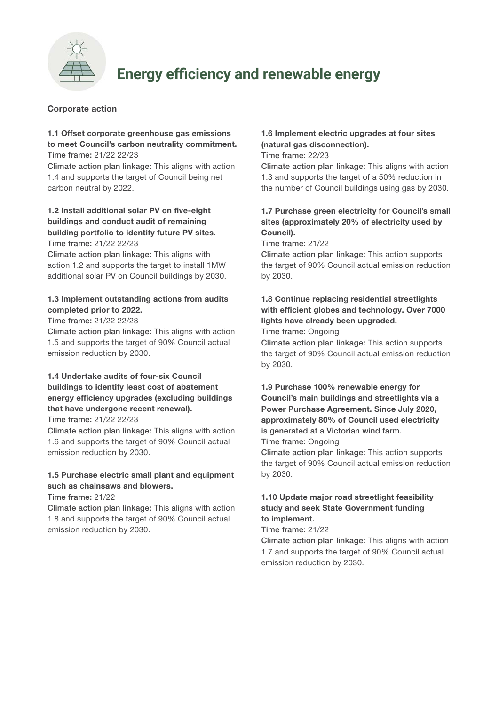

# **Energy efficiency and renewable energy**

### Corporate action

# 1.1 Offset corporate greenhouse gas emissions to meet Council's carbon neutrality commitment.

Time frame: 21/22 22/23

Climate action plan linkage: This aligns with action 1.4 and supports the target of Council being net carbon neutral by 2022.

#### 1.2 Install additional solar PV on five-eight buildings and conduct audit of remaining building portfolio to identify future PV sites. Time frame: 21/22 22/23

Climate action plan linkage: This aligns with action 1.2 and supports the target to install 1MW additional solar PV on Council buildings by 2030.

### 1.3 Implement outstanding actions from audits completed prior to 2022.

Time frame: 21/22 22/23

Climate action plan linkage: This aligns with action 1.5 and supports the target of 90% Council actual emission reduction by 2030.

#### 1.4 Undertake audits of four-six Council buildings to identify least cost of abatement energy efficiency upgrades (excluding buildings that have undergone recent renewal). Time frame: 21/22 22/23

Climate action plan linkage: This aligns with action 1.6 and supports the target of 90% Council actual emission reduction by 2030.

# 1.5 Purchase electric small plant and equipment such as chainsaws and blowers.

Time frame: 21/22

Climate action plan linkage: This aligns with action 1.8 and supports the target of 90% Council actual emission reduction by 2030.

# 1.6 Implement electric upgrades at four sites (natural gas disconnection).

Time frame: 22/23

Climate action plan linkage: This aligns with action 1.3 and supports the target of a 50% reduction in the number of Council buildings using gas by 2030.

## 1.7 Purchase green electricity for Council's small sites (approximately 20% of electricity used by Council).

Time frame: 21/22

Climate action plan linkage: This action supports the target of 90% Council actual emission reduction by 2030.

### 1.8 Continue replacing residential streetlights with efficient globes and technology. Over 7000 lights have already been upgraded. Time frame: Ongoing

Climate action plan linkage: This action supports the target of 90% Council actual emission reduction by 2030.

## 1.9 Purchase 100% renewable energy for Council's main buildings and streetlights via a Power Purchase Agreement. Since July 2020, approximately 80% of Council used electricity is generated at a Victorian wind farm. Time frame: Ongoing

Climate action plan linkage: This action supports the target of 90% Council actual emission reduction by 2030.

## 1.10 Update major road streetlight feasibility study and seek State Government funding to implement.

Time frame: 21/22

Climate action plan linkage: This aligns with action 1.7 and supports the target of 90% Council actual emission reduction by 2030.